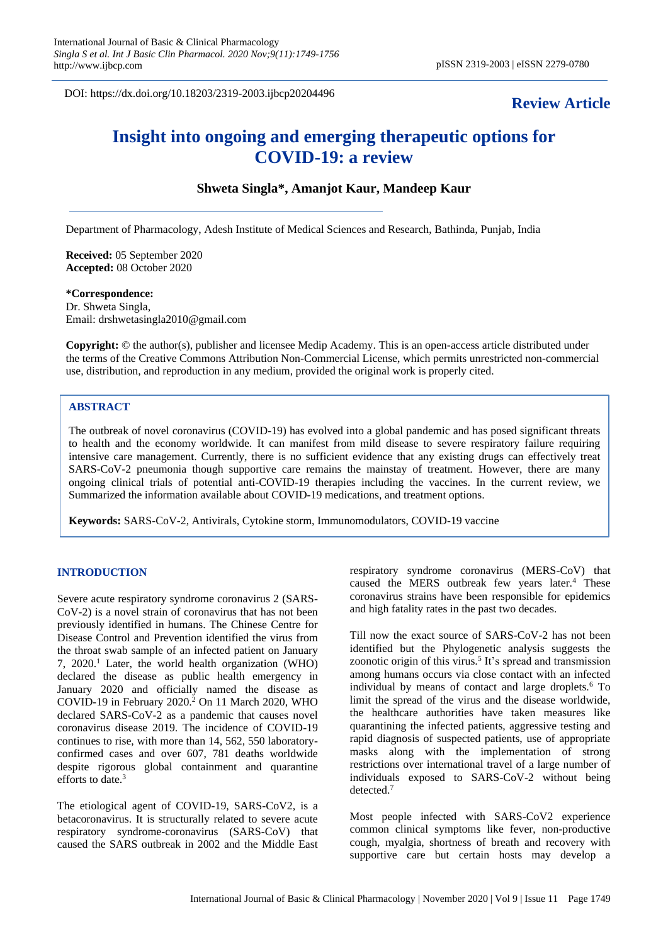DOI: https://dx.doi.org/10.18203/2319-2003.ijbcp20204496

# **Review Article**

# **Insight into ongoing and emerging therapeutic options for COVID-19: a review**

# **Shweta Singla\*, Amanjot Kaur, Mandeep Kaur**

Department of Pharmacology, Adesh Institute of Medical Sciences and Research, Bathinda, Punjab, India

**Received:** 05 September 2020 **Accepted:** 08 October 2020

# **\*Correspondence:**

Dr. Shweta Singla, Email: drshwetasingla2010@gmail.com

**Copyright:** © the author(s), publisher and licensee Medip Academy. This is an open-access article distributed under the terms of the Creative Commons Attribution Non-Commercial License, which permits unrestricted non-commercial use, distribution, and reproduction in any medium, provided the original work is properly cited.

# **ABSTRACT**

The outbreak of novel coronavirus (COVID-19) has evolved into a global pandemic and has posed significant threats to health and the economy worldwide. It can manifest from mild disease to severe respiratory failure requiring intensive care management. Currently, there is no sufficient evidence that any existing drugs can effectively treat SARS-CoV-2 pneumonia though supportive care remains the mainstay of treatment. However, there are many ongoing clinical trials of potential anti-COVID-19 therapies including the vaccines. In the current review, we Summarized the information available about COVID-19 medications, and treatment options.

**Keywords:** SARS-CoV-2, Antivirals, Cytokine storm, Immunomodulators, COVID-19 vaccine

# **INTRODUCTION**

Severe acute respiratory syndrome coronavirus 2 (SARS-CoV-2) is a novel strain of coronavirus that has not been previously identified in humans. The Chinese Centre for Disease Control and Prevention identified the virus from the throat swab sample of an infected patient on January 7,  $2020$ <sup>1</sup> Later, the world health organization (WHO) declared the disease as public health emergency in January 2020 and officially named the disease as COVID-19 in February  $2020<sup>2</sup>$  On 11 March 2020, WHO declared SARS-CoV-2 as a pandemic that causes novel coronavirus disease 2019. The incidence of COVID-19 continues to rise, with more than 14, 562, 550 laboratoryconfirmed cases and over 607, 781 deaths worldwide despite rigorous global containment and quarantine efforts to date.<sup>3</sup>

The etiological agent of COVID-19, SARS-CoV2, is a betacoronavirus. It is structurally related to severe acute respiratory syndrome-coronavirus (SARS-CoV) that caused the SARS outbreak in 2002 and the Middle East respiratory syndrome coronavirus (MERS-CoV) that caused the MERS outbreak few years later.<sup>4</sup> These coronavirus strains have been responsible for epidemics and high fatality rates in the past two decades.

Till now the exact source of SARS-CoV-2 has not been identified but the Phylogenetic analysis suggests the zoonotic origin of this virus.<sup>5</sup> It's spread and transmission among humans occurs via close contact with an infected individual by means of contact and large droplets.<sup>6</sup> To limit the spread of the virus and the disease worldwide, the healthcare authorities have taken measures like quarantining the infected patients, aggressive testing and rapid diagnosis of suspected patients, use of appropriate masks along with the implementation of strong restrictions over international travel of a large number of individuals exposed to SARS-CoV-2 without being detected.<sup>7</sup>

Most people infected with SARS-CoV2 experience common clinical symptoms like fever, non-productive cough, myalgia, shortness of breath and recovery with supportive care but certain hosts may develop a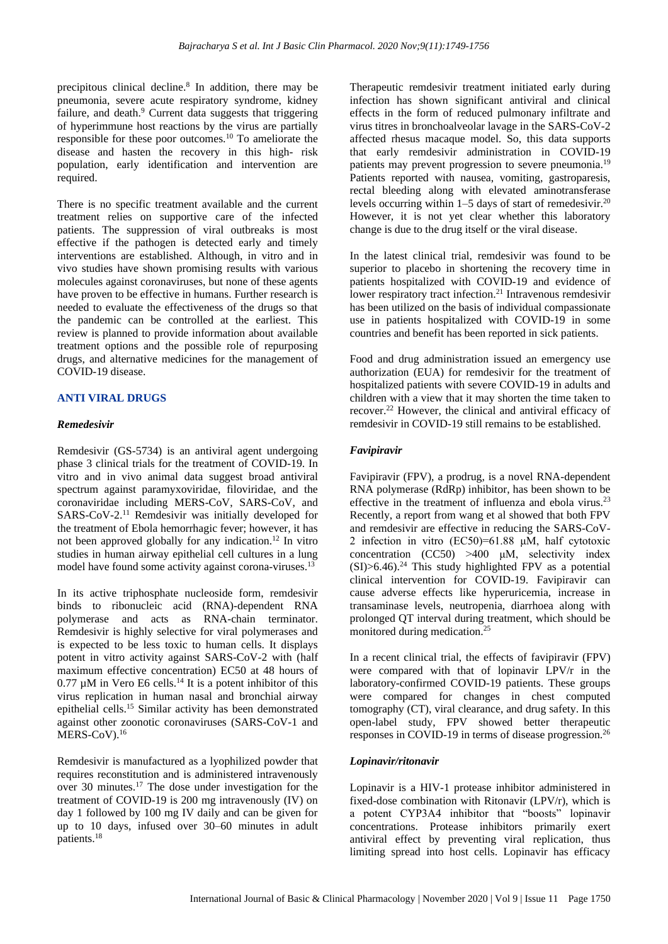precipitous clinical decline.<sup>8</sup> In addition, there may be pneumonia, severe acute respiratory syndrome, kidney failure, and death.<sup>9</sup> Current data suggests that triggering of hyperimmune host reactions by the virus are partially responsible for these poor outcomes.<sup>10</sup> To ameliorate the disease and hasten the recovery in this high- risk population, early identification and intervention are required.

There is no specific treatment available and the current treatment relies on supportive care of the infected patients. The suppression of viral outbreaks is most effective if the pathogen is detected early and timely interventions are established. Although, in vitro and in vivo studies have shown promising results with various molecules against coronaviruses, but none of these agents have proven to be effective in humans. Further research is needed to evaluate the effectiveness of the drugs so that the pandemic can be controlled at the earliest. This review is planned to provide information about available treatment options and the possible role of repurposing drugs, and alternative medicines for the management of COVID-19 disease.

# **ANTI VIRAL DRUGS**

#### *Remedesivir*

Remdesivir (GS-5734) is an antiviral agent undergoing phase 3 clinical trials for the treatment of COVID-19. In vitro and in vivo animal data suggest broad antiviral spectrum against paramyxoviridae, filoviridae, and the coronaviridae including MERS-CoV, SARS-CoV, and SARS-CoV-2.<sup>11</sup> Remdesivir was initially developed for the treatment of Ebola hemorrhagic fever; however, it has not been approved globally for any indication.<sup>12</sup> In vitro studies in human airway epithelial cell cultures in a lung model have found some activity against corona-viruses.<sup>13</sup>

In its active triphosphate nucleoside form, remdesivir binds to ribonucleic acid (RNA)-dependent RNA polymerase and acts as RNA-chain terminator. Remdesivir is highly selective for viral polymerases and is expected to be less toxic to human cells. It displays potent in vitro activity against SARS-CoV-2 with (half maximum effective concentration) EC50 at 48 hours of  $0.77 \mu$ M in Vero E6 cells.<sup>14</sup> It is a potent inhibitor of this virus replication in human nasal and bronchial airway epithelial cells.<sup>15</sup> Similar activity has been demonstrated against other zoonotic coronaviruses (SARS-CoV-1 and MERS-CoV).<sup>16</sup>

Remdesivir is manufactured as a lyophilized powder that requires reconstitution and is administered intravenously over 30 minutes.<sup>17</sup> The dose under investigation for the treatment of COVID-19 is 200 mg intravenously (IV) on day 1 followed by 100 mg IV daily and can be given for up to 10 days, infused over 30–60 minutes in adult patients.<sup>18</sup>

Therapeutic remdesivir treatment initiated early during infection has shown significant antiviral and clinical effects in the form of reduced pulmonary infiltrate and virus titres in bronchoalveolar lavage in the SARS-CoV-2 affected rhesus macaque model. So, this data supports that early remdesivir administration in COVID-19 patients may prevent progression to severe pneumonia.<sup>19</sup> Patients reported with nausea, vomiting, gastroparesis, rectal bleeding along with elevated aminotransferase levels occurring within 1–5 days of start of remedesivir.<sup>20</sup> However, it is not yet clear whether this laboratory change is due to the drug itself or the viral disease.

In the latest clinical trial, remdesivir was found to be superior to placebo in shortening the recovery time in patients hospitalized with COVID-19 and evidence of lower respiratory tract infection.<sup>21</sup> Intravenous remdesivir has been utilized on the basis of individual compassionate use in patients hospitalized with COVID-19 in some countries and benefit has been reported in sick patients.

Food and drug administration issued an emergency use authorization (EUA) for remdesivir for the treatment of hospitalized patients with severe COVID-19 in adults and children with a view that it may shorten the time taken to recover.<sup>22</sup> However, the clinical and antiviral efficacy of remdesivir in COVID-19 still remains to be established.

#### *Favipiravir*

Favipiravir (FPV), a prodrug, is a novel RNA-dependent RNA polymerase (RdRp) inhibitor, has been shown to be effective in the treatment of influenza and ebola virus.<sup>23</sup> Recently, a report from wang et al showed that both FPV and remdesivir are effective in reducing the SARS-CoV-2 infection in vitro  $(EC50)=61.88$   $\mu$ M, half cytotoxic concentration  $(CC50) > 400 \mu M$ , selectivity index  $(SI) > 6.46$ .<sup>24</sup> This study highlighted FPV as a potential clinical intervention for COVID-19. Favipiravir can cause adverse effects like hyperuricemia, increase in transaminase levels, neutropenia, diarrhoea along with prolonged QT interval during treatment, which should be monitored during medication.<sup>25</sup>

In a recent clinical trial, the effects of favipiravir (FPV) were compared with that of lopinavir  $LPV/r$  in the laboratory-confirmed COVID-19 patients. These groups were compared for changes in chest computed tomography (CT), viral clearance, and drug safety. In this open-label study, FPV showed better therapeutic responses in COVID-19 in terms of disease progression.<sup>26</sup>

#### *Lopinavir/ritonavir*

Lopinavir is a HIV-1 protease inhibitor administered in fixed-dose combination with Ritonavir (LPV/r), which is a potent CYP3A4 inhibitor that "boosts" lopinavir concentrations. Protease inhibitors primarily exert antiviral effect by preventing viral replication, thus limiting spread into host cells. Lopinavir has efficacy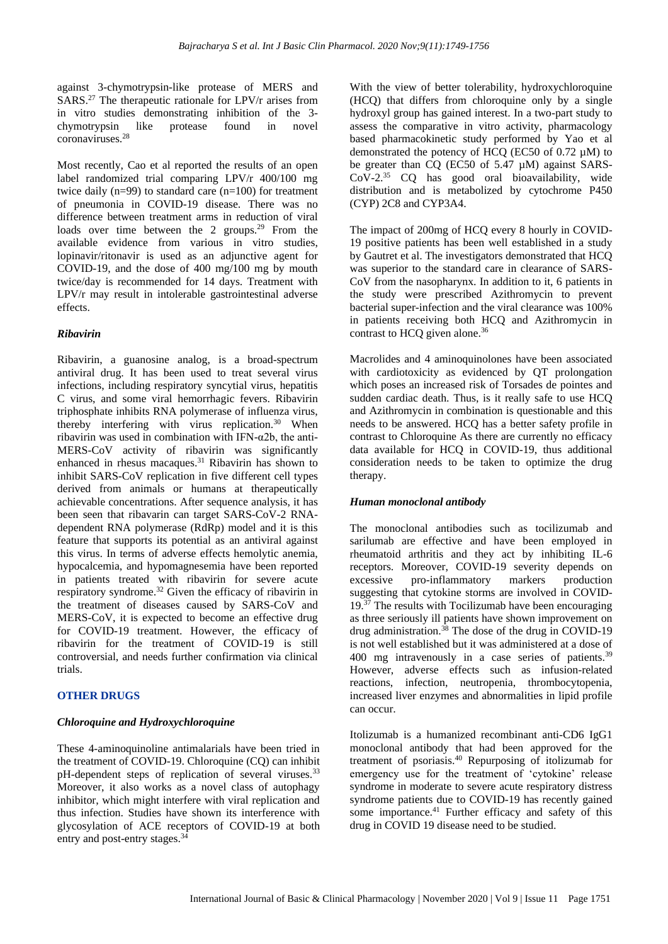against 3-chymotrypsin-like protease of MERS and SARS.<sup>27</sup> The therapeutic rationale for LPV/r arises from in vitro studies demonstrating inhibition of the 3 chymotrypsin like protease found in novel coronaviruses.<sup>28</sup>

Most recently, Cao et al reported the results of an open label randomized trial comparing LPV/r 400/100 mg twice daily  $(n=99)$  to standard care  $(n=100)$  for treatment of pneumonia in COVID-19 disease. There was no difference between treatment arms in reduction of viral loads over time between the 2 groups.<sup>29</sup> From the available evidence from various in vitro studies, lopinavir/ritonavir is used as an adjunctive agent for COVID-19, and the dose of 400 mg/100 mg by mouth twice/day is recommended for 14 days. Treatment with LPV/r may result in intolerable gastrointestinal adverse effects.

## *Ribavirin*

Ribavirin, a guanosine analog, is a broad-spectrum antiviral drug. It has been used to treat several virus infections, including respiratory syncytial virus, hepatitis C virus, and some viral hemorrhagic fevers. Ribavirin triphosphate inhibits RNA polymerase of influenza virus, thereby interfering with virus replication.<sup>30</sup> When ribavirin was used in combination with IFN- $\alpha$ 2b, the anti-MERS-CoV activity of ribavirin was significantly enhanced in rhesus macaques.<sup>31</sup> Ribavirin has shown to inhibit SARS-CoV replication in five different cell types derived from animals or humans at therapeutically achievable concentrations. After sequence analysis, it has been seen that ribavarin can target SARS-CoV-2 RNAdependent RNA polymerase (RdRp) model and it is this feature that supports its potential as an antiviral against this virus. In terms of adverse effects hemolytic anemia, hypocalcemia, and hypomagnesemia have been reported in patients treated with ribavirin for severe acute respiratory syndrome.<sup>32</sup> Given the efficacy of ribavirin in the treatment of diseases caused by SARS-CoV and MERS-CoV, it is expected to become an effective drug for COVID-19 treatment. However, the efficacy of ribavirin for the treatment of COVID-19 is still controversial, and needs further confirmation via clinical trials.

#### **OTHER DRUGS**

#### *Chloroquine and Hydroxychloroquine*

These 4-aminoquinoline antimalarials have been tried in the treatment of COVID-19. Chloroquine (CQ) can inhibit pH-dependent steps of replication of several viruses.<sup>33</sup> Moreover, it also works as a novel class of autophagy inhibitor, which might interfere with viral replication and thus infection. Studies have shown its interference with glycosylation of ACE receptors of COVID-19 at both entry and post-entry stages.<sup>34</sup>

With the view of better tolerability, hydroxychloroquine (HCQ) that differs from chloroquine only by a single hydroxyl group has gained interest. In a two-part study to assess the comparative in vitro activity, pharmacology based pharmacokinetic study performed by Yao et al demonstrated the potency of HCQ (EC50 of 0.72 µM) to be greater than CQ (EC50 of 5.47 µM) against SARS-CoV-2.<sup>35</sup> CQ has good oral bioavailability, wide distribution and is metabolized by cytochrome P450 (CYP) 2C8 and CYP3A4.

The impact of 200mg of HCQ every 8 hourly in COVID-19 positive patients has been well established in a study by Gautret et al. The investigators demonstrated that HCQ was superior to the standard care in clearance of SARS-CoV from the nasopharynx. In addition to it, 6 patients in the study were prescribed Azithromycin to prevent bacterial super-infection and the viral clearance was 100% in patients receiving both HCQ and Azithromycin in contrast to HCQ given alone.<sup>36</sup>

Macrolides and 4 aminoquinolones have been associated with cardiotoxicity as evidenced by QT prolongation which poses an increased risk of Torsades de pointes and sudden cardiac death. Thus, is it really safe to use HCQ and Azithromycin in combination is questionable and this needs to be answered. HCQ has a better safety profile in contrast to Chloroquine As there are currently no efficacy data available for HCQ in COVID-19, thus additional consideration needs to be taken to optimize the drug therapy.

#### *Human monoclonal antibody*

The monoclonal antibodies such as tocilizumab and sarilumab are effective and have been employed in rheumatoid arthritis and they act by inhibiting IL-6 receptors. Moreover, COVID-19 severity depends on excessive pro-inflammatory markers production suggesting that cytokine storms are involved in COVID-19.<sup>37</sup> The results with Tocilizumab have been encouraging as three seriously ill patients have shown improvement on drug administration. $38$  The dose of the drug in COVID-19 is not well established but it was administered at a dose of 400 mg intravenously in a case series of patients.<sup>39</sup> However, adverse effects such as infusion-related reactions, infection, neutropenia, thrombocytopenia, increased liver enzymes and abnormalities in lipid profile can occur.

Itolizumab is a humanized recombinant anti-CD6 IgG1 monoclonal antibody that had been approved for the treatment of psoriasis.<sup>40</sup> Repurposing of itolizumab for emergency use for the treatment of 'cytokine' release syndrome in moderate to severe acute respiratory distress syndrome patients due to COVID-19 has recently gained some importance.<sup>41</sup> Further efficacy and safety of this drug in COVID 19 disease need to be studied.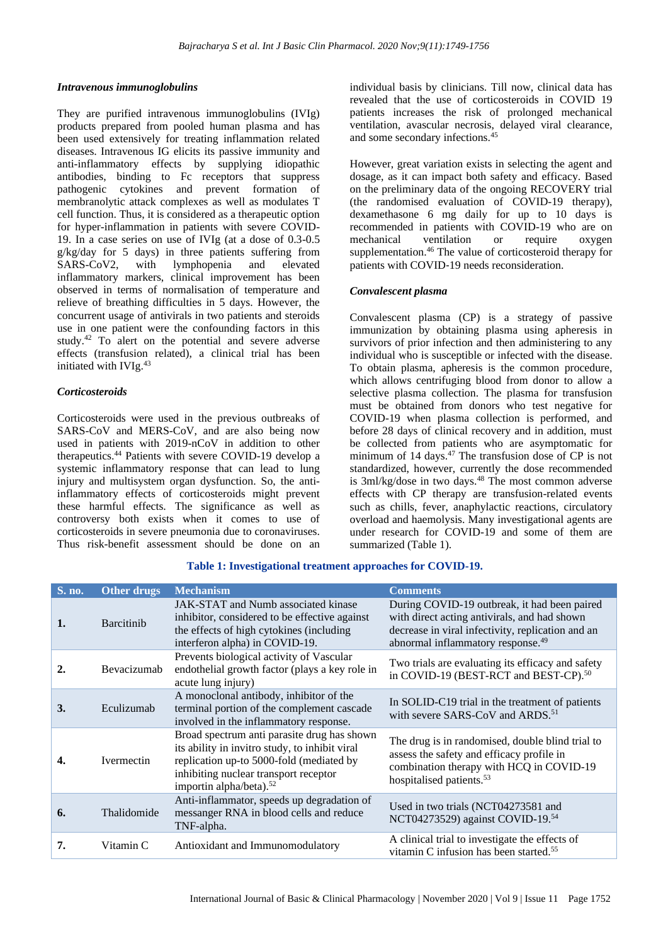# *Intravenous immunoglobulins*

They are purified intravenous immunoglobulins (IVIg) products prepared from pooled human plasma and has been used extensively for treating inflammation related diseases. Intravenous IG elicits its passive immunity and anti-inflammatory effects by supplying idiopathic antibodies, binding to Fc receptors that suppress pathogenic cytokines and prevent formation of membranolytic attack complexes as well as modulates T cell function. Thus, it is considered as a therapeutic option for hyper-inflammation in patients with severe COVID-19. In a case series on use of IVIg (at a dose of 0.3-0.5 g/kg/day for 5 days) in three patients suffering from SARS-CoV2, with lymphopenia and elevated inflammatory markers, clinical improvement has been observed in terms of normalisation of temperature and relieve of breathing difficulties in 5 days. However, the concurrent usage of antivirals in two patients and steroids use in one patient were the confounding factors in this study.<sup>42</sup> To alert on the potential and severe adverse effects (transfusion related), a clinical trial has been initiated with IVIg.<sup>43</sup>

# *Corticosteroids*

Corticosteroids were used in the previous outbreaks of SARS-CoV and MERS-CoV, and are also being now used in patients with 2019-nCoV in addition to other therapeutics.<sup>44</sup> Patients with severe COVID-19 develop a systemic inflammatory response that can lead to lung injury and multisystem organ dysfunction. So, the antiinflammatory effects of corticosteroids might prevent these harmful effects. The significance as well as controversy both exists when it comes to use of corticosteroids in severe pneumonia due to coronaviruses. Thus risk-benefit assessment should be done on an

individual basis by clinicians. Till now, clinical data has revealed that the use of corticosteroids in COVID 19 patients increases the risk of prolonged mechanical ventilation, avascular necrosis, delayed viral clearance, and some secondary infections.<sup>45</sup>

However, great variation exists in selecting the agent and dosage, as it can impact both safety and efficacy. Based on the preliminary data of the ongoing RECOVERY trial (the randomised evaluation of COVID-19 therapy), dexamethasone 6 mg daily for up to 10 days is recommended in patients with COVID-19 who are on mechanical ventilation or require oxygen supplementation.<sup>46</sup> The value of corticosteroid therapy for patients with COVID‐19 needs reconsideration.

# *Convalescent plasma*

Convalescent plasma (CP) is a strategy of passive immunization by obtaining plasma using apheresis in survivors of prior infection and then administering to any individual who is susceptible or infected with the disease. To obtain plasma, apheresis is the common procedure, which allows centrifuging blood from donor to allow a selective plasma collection. The plasma for transfusion must be obtained from donors who test negative for COVID-19 when plasma collection is performed, and before 28 days of clinical recovery and in addition, must be collected from patients who are asymptomatic for minimum of 14 days.<sup>47</sup> The transfusion dose of CP is not standardized, however, currently the dose recommended is 3ml/kg/dose in two days.<sup>48</sup> The most common adverse effects with CP therapy are transfusion-related events such as chills, fever, anaphylactic reactions, circulatory overload and haemolysis. Many investigational agents are under research for COVID-19 and some of them are summarized (Table 1).

| <b>S. no.</b>  | Other drugs       | <b>Mechanism</b>                                                                                                                                                                                                          | <b>Comments</b>                                                                                                                                                                                    |
|----------------|-------------------|---------------------------------------------------------------------------------------------------------------------------------------------------------------------------------------------------------------------------|----------------------------------------------------------------------------------------------------------------------------------------------------------------------------------------------------|
| 1.             | <b>Barcitinib</b> | JAK-STAT and Numb associated kinase<br>inhibitor, considered to be effective against<br>the effects of high cytokines (including<br>interferon alpha) in COVID-19.                                                        | During COVID-19 outbreak, it had been paired<br>with direct acting antivirals, and had shown<br>decrease in viral infectivity, replication and an<br>abnormal inflammatory response. <sup>49</sup> |
| $\overline{2}$ | Bevacizumab       | Prevents biological activity of Vascular<br>endothelial growth factor (plays a key role in<br>acute lung injury)                                                                                                          | Two trials are evaluating its efficacy and safety<br>in COVID-19 (BEST-RCT and BEST-CP). <sup>50</sup>                                                                                             |
| 3.             | Eculizumab        | A monoclonal antibody, inhibitor of the<br>terminal portion of the complement cascade<br>involved in the inflammatory response.                                                                                           | In SOLID-C19 trial in the treatment of patients<br>with severe SARS-CoV and ARDS. <sup>51</sup>                                                                                                    |
| 4.             | <b>Ivermectin</b> | Broad spectrum anti parasite drug has shown<br>its ability in invitro study, to inhibit viral<br>replication up-to 5000-fold (mediated by<br>inhibiting nuclear transport receptor<br>importin alpha/beta). <sup>52</sup> | The drug is in randomised, double blind trial to<br>assess the safety and efficacy profile in<br>combination therapy with HCQ in COVID-19<br>hospitalised patients. <sup>53</sup>                  |
| 6.             | Thalidomide       | Anti-inflammator, speeds up degradation of<br>messanger RNA in blood cells and reduce<br>TNF-alpha.                                                                                                                       | Used in two trials (NCT04273581 and<br>NCT04273529) against COVID-19.54                                                                                                                            |
| 7.             | Vitamin C         | Antioxidant and Immunomodulatory                                                                                                                                                                                          | A clinical trial to investigate the effects of<br>vitamin C infusion has been started. <sup>55</sup>                                                                                               |

**Table 1: Investigational treatment approaches for COVID-19.**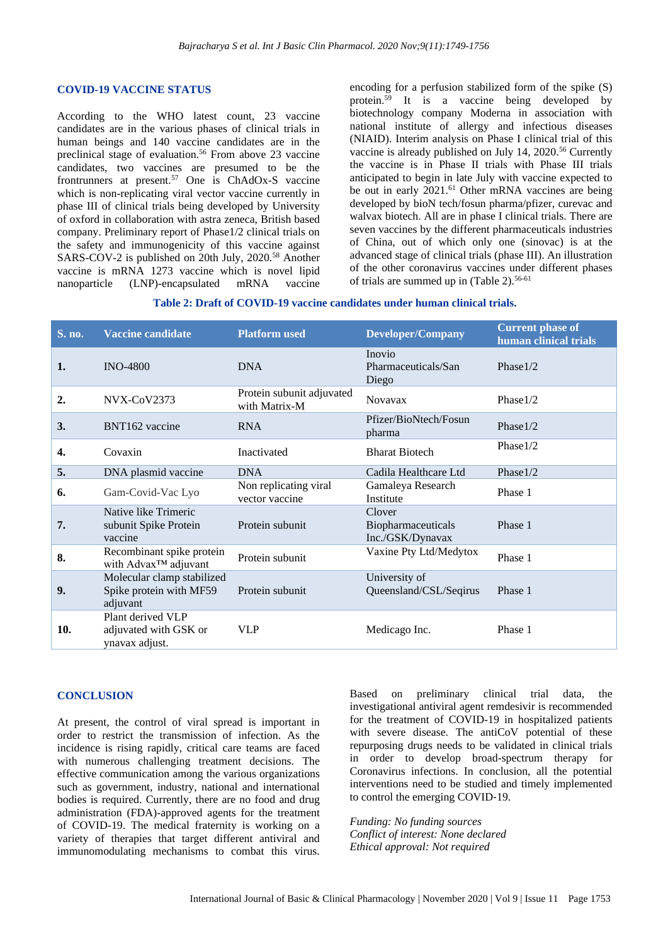#### **COVID-19 VACCINE STATUS**

According to the WHO latest count, 23 vaccine candidates are in the various phases of clinical trials in human beings and 140 vaccine candidates are in the preclinical stage of evaluation.<sup>56</sup> From above 23 vaccine candidates, two vaccines are presumed to be the frontrunners at present.<sup>57</sup> One is ChAdOx-S vaccine which is non-replicating viral vector vaccine currently in phase III of clinical trials being developed by University of oxford in collaboration with astra zeneca, British based company. Preliminary report of Phase1/2 clinical trials on the safety and immunogenicity of this vaccine against SARS-COV-2 is published on 20th July, 2020.<sup>58</sup> Another vaccine is mRNA 1273 vaccine which is novel lipid nanoparticle (LNP)-encapsulated mRNA vaccine

encoding for a perfusion stabilized form of the spike (S) protein.<sup>59</sup> It is a vaccine being developed by biotechnology company Moderna in association with national institute of allergy and infectious diseases (NIAID). Interim analysis on Phase I clinical trial of this vaccine is already published on July 14, 2020.<sup>56</sup> Currently the vaccine is in Phase II trials with Phase III trials anticipated to begin in late July with vaccine expected to be out in early 2021. <sup>61</sup> Other mRNA vaccines are being developed by bioN tech/fosun pharma/pfizer, curevac and walvax biotech. All are in phase I clinical trials. There are seven vaccines by the different pharmaceuticals industries of China, out of which only one (sinovac) is at the advanced stage of clinical trials (phase III). An illustration of the other coronavirus vaccines under different phases of trials are summed up in (Table 2). 56-61

|  |  | Table 2: Draft of COVID-19 vaccine candidates under human clinical trials. |
|--|--|----------------------------------------------------------------------------|
|--|--|----------------------------------------------------------------------------|

| S. no. | <b>Vaccine candidate</b>                                          | <b>Platform used</b>                       | <b>Developer/Company</b>                         | <b>Current phase of</b><br>human clinical trials |
|--------|-------------------------------------------------------------------|--------------------------------------------|--------------------------------------------------|--------------------------------------------------|
| 1.     | <b>INO-4800</b>                                                   | <b>DNA</b>                                 | Inovio<br>Pharmaceuticals/San<br>Diego           | Phase $1/2$                                      |
| 2.     | NVX-CoV2373                                                       | Protein subunit adjuvated<br>with Matrix-M | <b>Novavax</b>                                   | Phase $1/2$                                      |
| 3.     | BNT162 vaccine                                                    | <b>RNA</b>                                 | Pfizer/BioNtech/Fosun<br>pharma                  | Phase1/2                                         |
| 4.     | Covaxin                                                           | Inactivated                                | <b>Bharat Biotech</b>                            | Phase $1/2$                                      |
| 5.     | DNA plasmid vaccine                                               | <b>DNA</b>                                 | Cadila Healthcare Ltd                            | Phase $1/2$                                      |
| 6.     | Gam-Covid-Vac Lyo                                                 | Non replicating viral<br>vector vaccine    | Gamaleya Research<br>Institute                   | Phase 1                                          |
| 7.     | Native like Trimeric<br>subunit Spike Protein<br>vaccine          | Protein subunit                            | Clover<br>Biopharmaceuticals<br>Inc./GSK/Dynavax | Phase 1                                          |
| 8.     | Recombinant spike protein<br>with Advax <sup>™</sup> adjuvant     | Protein subunit                            | Vaxine Pty Ltd/Medytox                           | Phase 1                                          |
| 9.     | Molecular clamp stabilized<br>Spike protein with MF59<br>adjuvant | Protein subunit                            | University of<br>Queensland/CSL/Seqirus          | Phase 1                                          |
| 10.    | Plant derived VLP<br>adjuvated with GSK or<br>ynavax adjust.      | <b>VLP</b>                                 | Medicago Inc.                                    | Phase 1                                          |

#### **CONCLUSION**

At present, the control of viral spread is important in order to restrict the transmission of infection. As the incidence is rising rapidly, critical care teams are faced with numerous challenging treatment decisions. The effective communication among the various organizations such as government, industry, national and international bodies is required. Currently, there are no food and drug administration (FDA)-approved agents for the treatment of COVID-19. The medical fraternity is working on a variety of therapies that target different antiviral and immunomodulating mechanisms to combat this virus.

Based on preliminary clinical trial data, the investigational antiviral agent remdesivir is recommended for the treatment of COVID-19 in hospitalized patients with severe disease. The antiCoV potential of these repurposing drugs needs to be validated in clinical trials in order to develop broad-spectrum therapy for Coronavirus infections. In conclusion, all the potential interventions need to be studied and timely implemented to control the emerging COVID‐19.

*Funding: No funding sources Conflict of interest: None declared Ethical approval: Not required*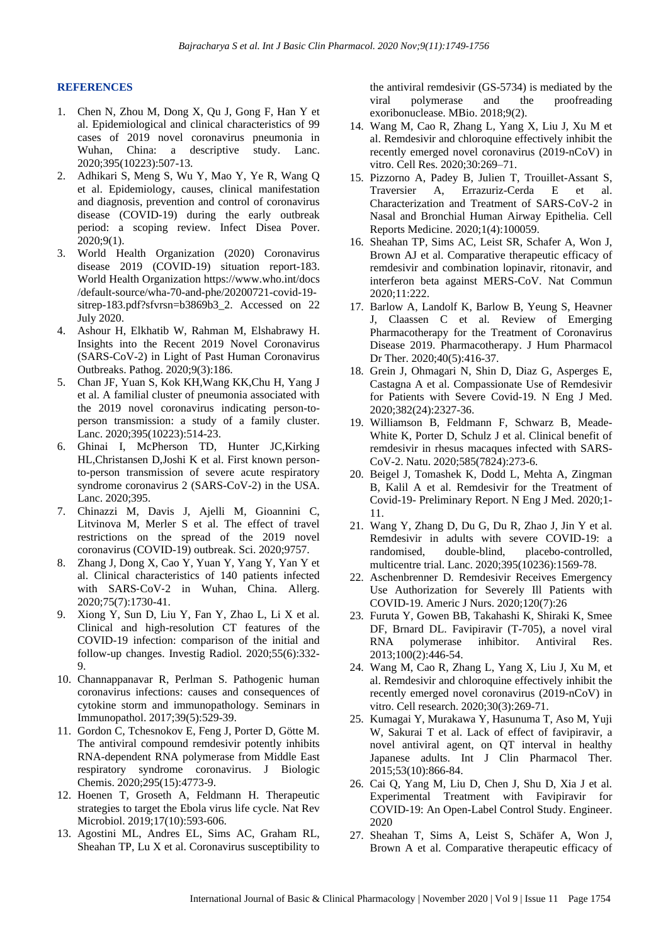## **REFERENCES**

- 1. Chen N, Zhou M, Dong X, Qu J, Gong F, Han Y et al. Epidemiological and clinical characteristics of 99 cases of 2019 novel coronavirus pneumonia in Wuhan, China: a descriptive study. Lanc. 2020;395(10223):507-13.
- 2. Adhikari S, Meng S, Wu Y, Mao Y, Ye R, Wang Q et al. Epidemiology, causes, clinical manifestation and diagnosis, prevention and control of coronavirus disease (COVID-19) during the early outbreak period: a scoping review. Infect Disea Pover. 2020;9(1).
- 3. World Health Organization (2020) Coronavirus disease 2019 (COVID-19) situation report-183. World Health Organizatio[n https://www.who.int/docs](https://www.who.int/docs) /default-source/wha-70-and-phe/20200721-covid-19 sitrep-183.pdf?sfvrsn=b3869b3 2. Accessed on 22 July 2020.
- 4. Ashour H, Elkhatib W, Rahman M, Elshabrawy H. Insights into the Recent 2019 Novel Coronavirus (SARS-CoV-2) in Light of Past Human Coronavirus Outbreaks. Pathog. 2020;9(3):186.
- 5. Chan JF, Yuan S, Kok KH,Wang KK,Chu H, Yang J et al. A familial cluster of pneumonia associated with the 2019 novel coronavirus indicating person-toperson transmission: a study of a family cluster. Lanc. 2020;395(10223):514-23.
- 6. Ghinai I, McPherson TD, Hunter JC,Kirking HL,Christansen D,Joshi K et al. First known personto-person transmission of severe acute respiratory syndrome coronavirus 2 (SARS-CoV-2) in the USA. Lanc. 2020;395.
- 7. Chinazzi M, Davis J, Ajelli M, Gioannini C, Litvinova M, Merler S et al. The effect of travel restrictions on the spread of the 2019 novel coronavirus (COVID-19) outbreak. Sci. 2020;9757.
- 8. Zhang J, Dong X, Cao Y, Yuan Y, Yang Y, Yan Y et al. Clinical characteristics of 140 patients infected with SARS-CoV-2 in Wuhan, China. Allerg. 2020;75(7):1730-41.
- 9. Xiong Y, Sun D, Liu Y, Fan Y, Zhao L, Li X et al. Clinical and high-resolution CT features of the COVID-19 infection: comparison of the initial and follow-up changes. Investig Radiol. 2020;55(6):332- 9.
- 10. Channappanavar R, Perlman S. Pathogenic human coronavirus infections: causes and consequences of cytokine storm and immunopathology. Seminars in Immunopathol. 2017;39(5):529-39.
- 11. Gordon C, Tchesnokov E, Feng J, Porter D, Götte M. The antiviral compound remdesivir potently inhibits RNA-dependent RNA polymerase from Middle East respiratory syndrome coronavirus. J Biologic Chemis. 2020;295(15):4773-9.
- 12. Hoenen T, Groseth A, Feldmann H. Therapeutic strategies to target the Ebola virus life cycle. Nat Rev Microbiol. 2019;17(10):593-606.
- 13. Agostini ML, Andres EL, Sims AC, Graham RL, Sheahan TP, Lu X et al. Coronavirus susceptibility to

the antiviral remdesivir (GS-5734) is mediated by the viral polymerase and the proofreading exoribonuclease. MBio. 2018;9(2).

- 14. Wang M, Cao R, Zhang L, Yang X, Liu J, Xu M et al. Remdesivir and chloroquine effectively inhibit the recently emerged novel coronavirus (2019-nCoV) in vitro. Cell Res. 2020;30:269–71.
- 15. Pizzorno A, Padey B, Julien T, Trouillet-Assant S, Traversier A, Errazuriz-Cerda E et al. Characterization and Treatment of SARS-CoV-2 in Nasal and Bronchial Human Airway Epithelia. Cell Reports Medicine. 2020;1(4):100059.
- 16. Sheahan TP, Sims AC, Leist SR, Schafer A, Won J, Brown AJ et al. Comparative therapeutic efficacy of remdesivir and combination lopinavir, ritonavir, and interferon beta against MERS-CoV. Nat Commun 2020;11:222.
- 17. Barlow A, Landolf K, Barlow B, Yeung S, Heavner J, Claassen C et al. Review of Emerging Pharmacotherapy for the Treatment of Coronavirus Disease 2019. Pharmacotherapy. J Hum Pharmacol Dr Ther. 2020;40(5):416-37.
- 18. Grein J, Ohmagari N, Shin D, Diaz G, Asperges E, Castagna A et al. Compassionate Use of Remdesivir for Patients with Severe Covid-19. N Eng J Med. 2020;382(24):2327-36.
- 19. Williamson B, Feldmann F, Schwarz B, Meade-White K, Porter D, Schulz J et al. Clinical benefit of remdesivir in rhesus macaques infected with SARS-CoV-2. Natu. 2020;585(7824):273-6.
- 20. Beigel J, Tomashek K, Dodd L, Mehta A, Zingman B, Kalil A et al. Remdesivir for the Treatment of Covid-19- Preliminary Report. N Eng J Med. 2020;1- 11.
- 21. Wang Y, Zhang D, Du G, Du R, Zhao J, Jin Y et al. Remdesivir in adults with severe COVID-19: a randomised, double-blind, placebo-controlled, multicentre trial. Lanc. 2020;395(10236):1569-78.
- 22. Aschenbrenner D. Remdesivir Receives Emergency Use Authorization for Severely Ill Patients with COVID-19. Americ J Nurs. 2020;120(7):26
- 23. Furuta Y, Gowen BB, Takahashi K, Shiraki K, Smee DF, Brnard DL. Favipiravir (T-705), a novel viral RNA polymerase inhibitor. Antiviral Res. 2013;100(2):446-54.
- 24. Wang M, Cao R, Zhang L, Yang X, Liu J, Xu M, et al. Remdesivir and chloroquine effectively inhibit the recently emerged novel coronavirus (2019-nCoV) in vitro. Cell research. 2020;30(3):269-71.
- 25. Kumagai Y, Murakawa Y, Hasunuma T, Aso M, Yuji W, Sakurai T et al. Lack of effect of favipiravir, a novel antiviral agent, on QT interval in healthy Japanese adults. Int J Clin Pharmacol Ther. 2015;53(10):866-84.
- 26. Cai Q, Yang M, Liu D, Chen J, Shu D, Xia J et al. Experimental Treatment with Favipiravir for COVID-19: An Open-Label Control Study. Engineer. 2020
- 27. Sheahan T, Sims A, Leist S, Schäfer A, Won J, Brown A et al. Comparative therapeutic efficacy of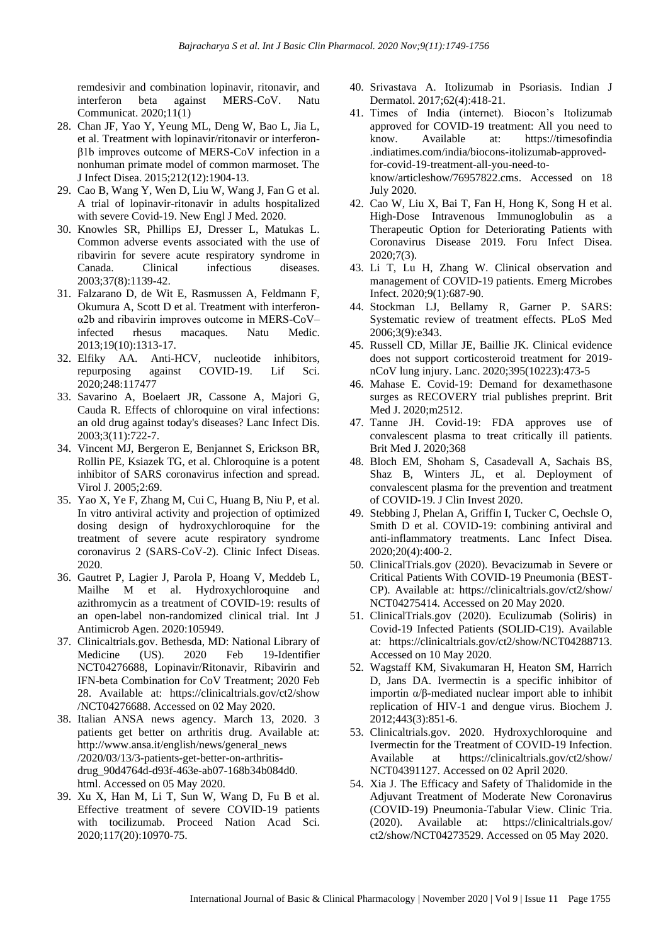remdesivir and combination lopinavir, ritonavir, and interferon beta against MERS-CoV. Natu Communicat. 2020;11(1)

- 28. Chan JF, Yao Y, Yeung ML, Deng W, Bao L, Jia L, et al. Treatment with lopinavir/ritonavir or interferonβ1b improves outcome of MERS-CoV infection in a nonhuman primate model of common marmoset. The J Infect Disea. 2015;212(12):1904-13.
- 29. Cao B, Wang Y, Wen D, Liu W, Wang J, Fan G et al. A trial of lopinavir-ritonavir in adults hospitalized with severe Covid-19. New Engl J Med. 2020.
- 30. Knowles SR, Phillips EJ, Dresser L, Matukas L. Common adverse events associated with the use of ribavirin for severe acute respiratory syndrome in Canada. Clinical infectious diseases. 2003;37(8):1139-42.
- 31. Falzarano D, de Wit E, Rasmussen A, Feldmann F, Okumura A, Scott D et al. Treatment with interferonα2b and ribavirin improves outcome in MERS-CoV– infected rhesus macaques. Natu Medic. 2013;19(10):1313-17.
- 32. Elfiky AA. Anti-HCV, nucleotide inhibitors, repurposing against COVID-19. Lif Sci. 2020;248:117477
- 33. Savarino A, Boelaert JR, Cassone A, Majori G, Cauda R. Effects of chloroquine on viral infections: an old drug against today's diseases? Lanc Infect Dis. 2003;3(11):722-7.
- 34. Vincent MJ, Bergeron E, Benjannet S, Erickson BR, Rollin PE, Ksiazek TG, et al. Chloroquine is a potent inhibitor of SARS coronavirus infection and spread. Virol J. 2005;2:69.
- 35. Yao X, Ye F, Zhang M, Cui C, Huang B, Niu P, et al. In vitro antiviral activity and projection of optimized dosing design of hydroxychloroquine for the treatment of severe acute respiratory syndrome coronavirus 2 (SARS-CoV-2). Clinic Infect Diseas. 2020.
- 36. Gautret P, Lagier J, Parola P, Hoang V, Meddeb L, Mailhe M et al. Hydroxychloroquine and azithromycin as a treatment of COVID-19: results of an open-label non-randomized clinical trial. Int J Antimicrob Agen. 2020:105949.
- 37. Clinicaltrials.gov. Bethesda, MD: National Library of Medicine (US). 2020 Feb 19-Identifier NCT04276688, Lopinavir/Ritonavir, Ribavirin and IFN-beta Combination for CoV Treatment; 2020 Feb 28. Available at: [https://clinicaltrials.gov/ct2/show](https://clinicaltrials.gov/ct2/show%20/NCT04276688)  [/NCT04276688.](https://clinicaltrials.gov/ct2/show%20/NCT04276688) Accessed on 02 May 2020.
- 38. Italian ANSA news agency. March 13, 2020. 3 patients get better on arthritis drug. Available at: http:/[/www.ansa.it/english/news/general\\_news](http://www.ansa.it/english/news/general_news) /2020/03/13/3-patients-get-better-on-arthritisdrug\_90d4764d-d93f-463e-ab07-168b34b084d0. html. Accessed on 05 May 2020.
- 39. Xu X, Han M, Li T, Sun W, Wang D, Fu B et al. Effective treatment of severe COVID-19 patients with tocilizumab. Proceed Nation Acad Sci. 2020;117(20):10970-75.
- 40. Srivastava A. Itolizumab in Psoriasis. Indian J Dermatol. 2017;62(4):418-21.
- 41. Times of India (internet). Biocon's Itolizumab approved for COVID-19 treatment: All you need to know. Available at: https://timesofindia .indiatimes.com/india/biocons-itolizumab-approvedfor-covid-19-treatment-all-you-need-toknow/articleshow/76957822.cms. Accessed on 18 July 2020.
- 42. Cao W, Liu X, Bai T, Fan H, Hong K, Song H et al. High-Dose Intravenous Immunoglobulin as a Therapeutic Option for Deteriorating Patients with Coronavirus Disease 2019. Foru Infect Disea. 2020;7(3).
- 43. Li T, Lu H, Zhang W. Clinical observation and management of COVID-19 patients. Emerg Microbes Infect. 2020;9(1):687-90.
- 44. Stockman LJ, Bellamy R, Garner P. SARS: Systematic review of treatment effects. PLoS Med 2006;3(9):e343.
- 45. Russell CD, Millar JE, Baillie JK. Clinical evidence does not support corticosteroid treatment for 2019 nCoV lung injury. Lanc. 2020;395(10223):473-5
- 46. Mahase E. Covid-19: Demand for dexamethasone surges as RECOVERY trial publishes preprint. Brit Med J. 2020;m2512.
- 47. Tanne JH. Covid-19: FDA approves use of convalescent plasma to treat critically ill patients. Brit Med J. 2020;368
- 48. Bloch EM, Shoham S, Casadevall A, Sachais BS, Shaz B, Winters JL, et al. Deployment of convalescent plasma for the prevention and treatment of COVID-19. J Clin Invest 2020.
- 49. Stebbing J, Phelan A, Griffin I, Tucker C, Oechsle O, Smith D et al. COVID-19: combining antiviral and anti-inflammatory treatments. Lanc Infect Disea. 2020;20(4):400-2.
- 50. ClinicalTrials.gov (2020). Bevacizumab in Severe or Critical Patients With COVID-19 Pneumonia (BEST-CP). Available at:<https://clinicaltrials.gov/ct2/show/> NCT04275414. Accessed on 20 May 2020.
- 51. ClinicalTrials.gov (2020). Eculizumab (Soliris) in Covid-19 Infected Patients (SOLID-C19). Available at: [https://clinicaltrials.gov/ct2/show/NCT04288713.](https://clinicaltrials.gov/ct2/show/NCT04288713)  Accessed on 10 May 2020.
- 52. Wagstaff KM, Sivakumaran H, Heaton SM, Harrich D, Jans DA. Ivermectin is a specific inhibitor of importin  $\alpha/\beta$ -mediated nuclear import able to inhibit replication of HIV-1 and dengue virus. Biochem J. 2012;443(3):851-6.
- 53. Clinicaltrials.gov. 2020. Hydroxychloroquine and Ivermectin for the Treatment of COVID-19 Infection. Available at <https://clinicaltrials.gov/ct2/show/> NCT04391127. Accessed on 02 April 2020.
- 54. Xia J. The Efficacy and Safety of Thalidomide in the Adjuvant Treatment of Moderate New Coronavirus (COVID-19) Pneumonia-Tabular View. Clinic Tria. (2020). Available at: <https://clinicaltrials.gov/> ct2/show/NCT04273529. Accessed on 05 May 2020.